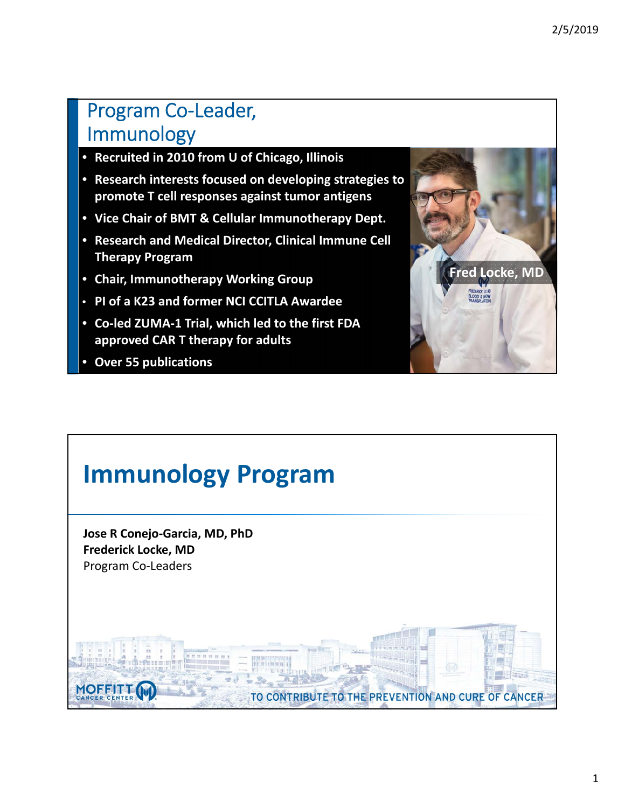### Program Co‐Leader, Immunology

- **Recruited in 2010 from U of Chicago, Illinois**
- **Research interests focused on developing strategies to promote T cell responses against tumor antigens**
- **Vice Chair of BMT & Cellular Immunotherapy Dept.**
- **Research and Medical Director, Clinical Immune Cell Therapy Program**
- **Chair, Immunotherapy Working Group**
- **PI of a K23 and former NCI CCITLA Awardee**
- **Co‐led ZUMA‐1 Trial, which led to the first FDA approved CAR T therapy for adults**
- **Over 55 publications**



# **Immunology Program Jose R Conejo‐Garcia, MD, PhD Frederick Locke, MD** Program Co‐Leaders**MOFFITT** TO CONTRIBUTE TO THE PREVENTION AND CURE OF CANCER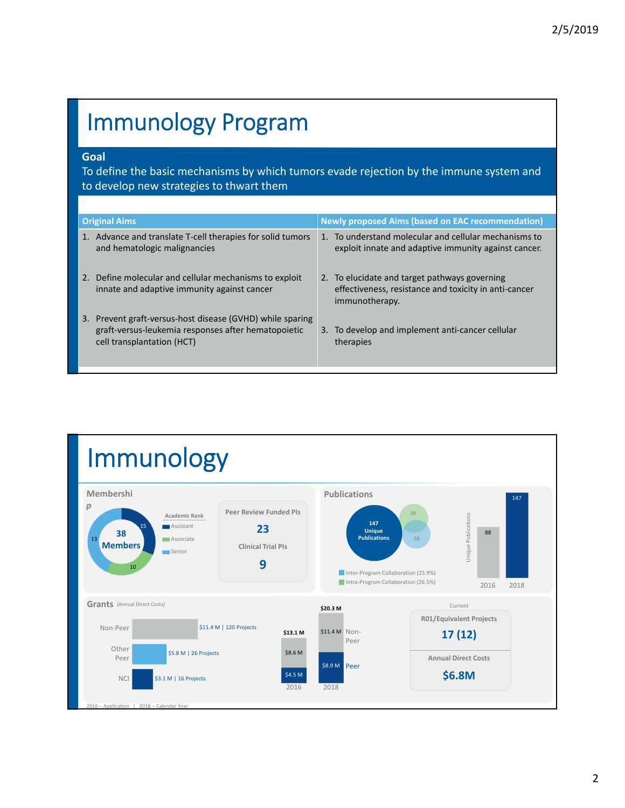# Immunology Program

### **Goal**

To define the basic mechanisms by which tumors evade rejection by the immune system and to develop new strategies to thwart them

| <b>Original Aims</b>                                                                                                                           | <b>Newly proposed Aims (based on EAC recommendation)</b>                                                                 |
|------------------------------------------------------------------------------------------------------------------------------------------------|--------------------------------------------------------------------------------------------------------------------------|
| 1. Advance and translate T-cell therapies for solid tumors<br>and hematologic malignancies                                                     | 1. To understand molecular and cellular mechanisms to<br>exploit innate and adaptive immunity against cancer.            |
| 2. Define molecular and cellular mechanisms to exploit<br>innate and adaptive immunity against cancer                                          | 2. To elucidate and target pathways governing<br>effectiveness, resistance and toxicity in anti-cancer<br>immunotherapy. |
| 3. Prevent graft-versus-host disease (GVHD) while sparing<br>graft-versus-leukemia responses after hematopoietic<br>cell transplantation (HCT) | 3. To develop and implement anti-cancer cellular<br>therapies                                                            |

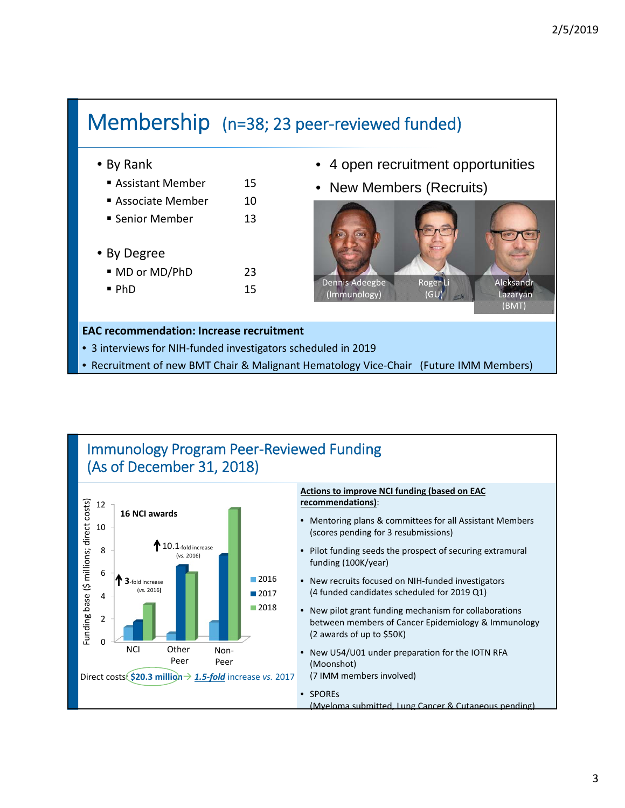## Membership (n=38; 23 peer‐reviewed funded)

### • By Rank

- **Assistant Member** 15
- Associate Member 10
- Senior Member 13
- By Degree
	- MD or MD/PhD 23  $\blacksquare$  PhD  $15$
- 4 open recruitment opportunities
- New Members (Recruits)



#### **EAC recommendation: Increase recruitment**

- 3 interviews for NIH-funded investigators scheduled in 2019
- Recruitment of new BMT Chair & Malignant Hematology Vice-Chair (Future IMM Members)

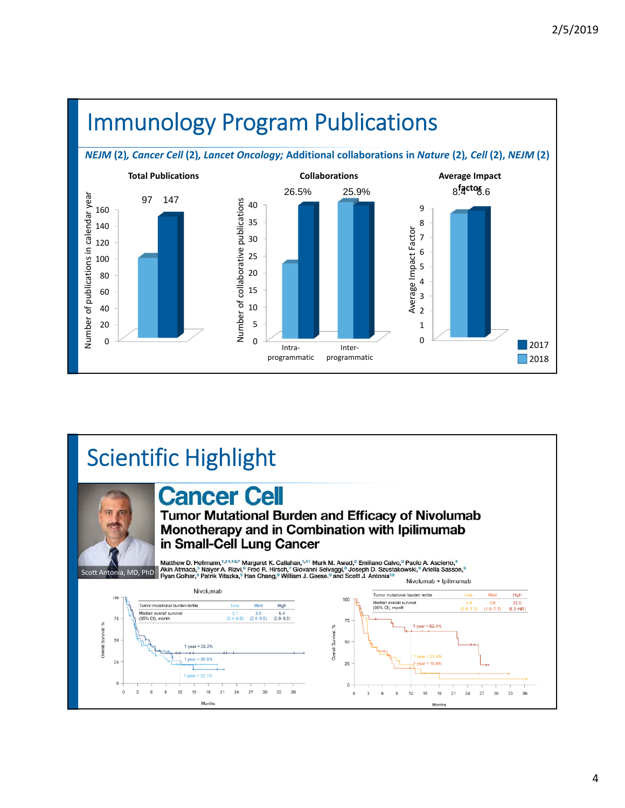



####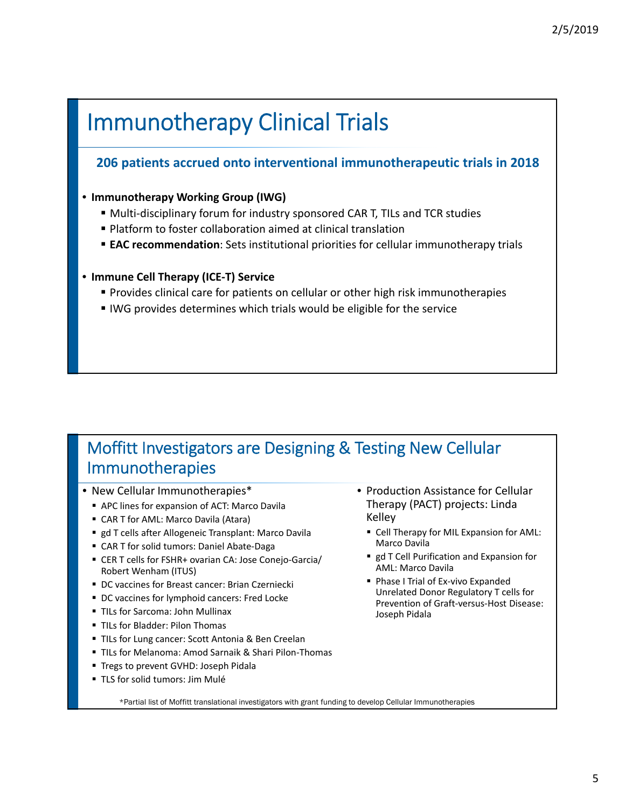# Immunotherapy Clinical Trials

### **206 patients accrued onto interventional immunotherapeutic trials in 2018**

### • **Immunotherapy Working Group (IWG)**

- Multi-disciplinary forum for industry sponsored CAR T, TILs and TCR studies
- Platform to foster collaboration aimed at clinical translation
- **EAC recommendation**: Sets institutional priorities for cellular immunotherapy trials

### • **Immune Cell Therapy (ICE‐T) Service**

- Provides clinical care for patients on cellular or other high risk immunotherapies
- IWG provides determines which trials would be eligible for the service

### Moffitt Investigators are Designing & Testing New Cellular Immunotherapies

- New Cellular Immunotherapies\*
	- APC lines for expansion of ACT: Marco Davila
	- CAR T for AML: Marco Davila (Atara)
	- gd T cells after Allogeneic Transplant: Marco Davila
	- CAR T for solid tumors: Daniel Abate-Daga
	- CER T cells for FSHR+ ovarian CA: Jose Conejo-Garcia/ Robert Wenham (ITUS)
	- DC vaccines for Breast cancer: Brian Czerniecki
	- **DC** vaccines for lymphoid cancers: Fred Locke
	- **TILs for Sarcoma: John Mullinax**
	- **TILs for Bladder: Pilon Thomas**
	- **TILs for Lung cancer: Scott Antonia & Ben Creelan**
	- TILs for Melanoma: Amod Sarnaik & Shari Pilon-Thomas
	- **Tregs to prevent GVHD: Joseph Pidala**
	- TLS for solid tumors: Jim Mulé
- Production Assistance for Cellular Therapy (PACT) projects: Linda Kelley
	- **Cell Therapy for MIL Expansion for AML:** Marco Davila
	- **gd T Cell Purification and Expansion for** AML: Marco Davila
	- Phase I Trial of Ex-vivo Expanded Unrelated Donor Regulatory T cells for Prevention of Graft‐versus‐Host Disease: Joseph Pidala

\*Partial list of Moffitt translational investigators with grant funding to develop Cellular Immunotherapies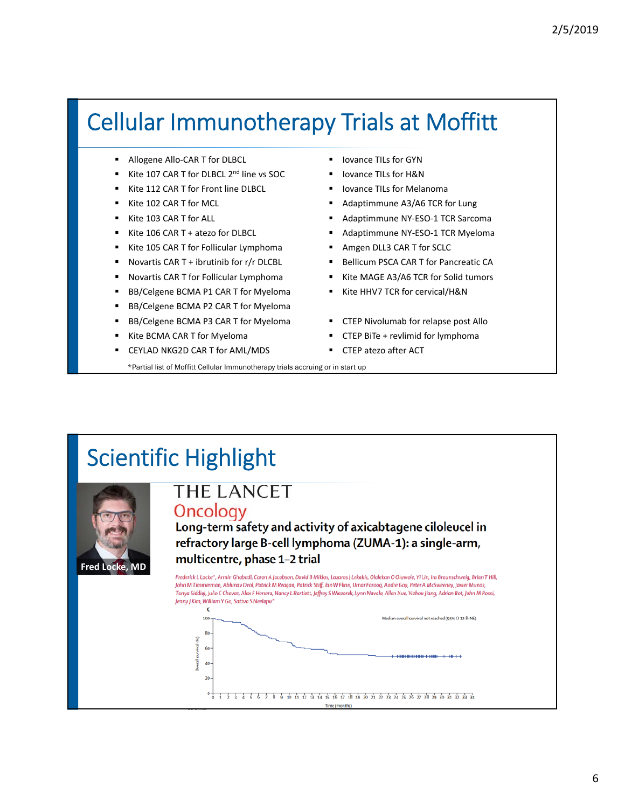# Cellular Immunotherapy Trials at Moffitt

- Allogene Allo-CAR T for DLBCL
- Kite 107 CAR T for DLBCL 2<sup>nd</sup> line vs SOC
- Kite 112 CAR T for Front line DLBCL
- Kite 102 CAR T for MCL
- Kite 103 CAR T for ALL
- Kite 106 CAR T + atezo for DLBCL
- Kite 105 CAR T for Follicular Lymphoma
- Novartis CAR T + ibrutinib for r/r DLCBL
- Novartis CAR T for Follicular Lymphoma
- BB/Celgene BCMA P1 CAR T for Myeloma
- BB/Celgene BCMA P2 CAR T for Myeloma
- BB/Celgene BCMA P3 CAR T for Myeloma
- Kite BCMA CAR T for Myeloma
- CEYLAD NKG2D CAR T for AML/MDS
- Iovance TILs for GYN
- **I** lovance TILs for H&N
- Iovance TILs for Melanoma
- Adaptimmune A3/A6 TCR for Lung
- Adaptimmune NY-ESO-1 TCR Sarcoma
- Adaptimmune NY-ESO-1 TCR Myeloma
- **Amgen DLL3 CAR T for SCLC**
- **Bellicum PSCA CAR T for Pancreatic CA**
- Kite MAGE A3/A6 TCR for Solid tumors
- Kite HHV7 TCR for cervical/H&N
- CTEP Nivolumab for relapse post Allo
- CTEP BiTe + revlimid for lymphoma
- CTEP atezo after ACT

\*Partial list of Moffitt Cellular Immunotherapy trials accruing or in start up

# Scientific Highlight



### **THE LANCET** Oncology

Long-term safety and activity of axicabtagene ciloleucel in refractory large B-cell lymphoma (ZUMA-1): a single-arm, multicentre, phase 1-2 trial

Frederick L Locke\*, Armin Ghobadi, Caron A Jacobson, David B Miklos, Lazaros J Lekakis, Olalekan O Oluwole, Yi Lin, Ira Braunschweig, Brian T Hill, John M Timmerman, Abhinav Deol, Patrick M Reagan, Patrick Stiff, Ian W Flinn, Umar Farooq, Andre Goy, Peter A McSweeney, Javier Munoz, Tanya Siddiqi, Julio C Chavez, Alex F Herrera, Nancy L Bartlett, Jeffrey S Wiezorek, Lynn Navale, Allen Xue, Yizhou Jiang, Adrian Bot, John M Rossi, Jenny J Kim, William Y Go, Sattva S Neelapu'  $\epsilon$